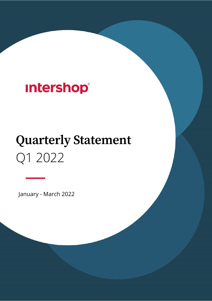# **Intershop®**

# **Quarterly Statement** Q1 2022

January - March 2022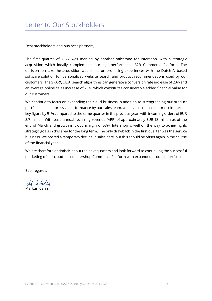Dear stockholders and business partners,

The first quarter of 2022 was marked by another milestone for Intershop, with a strategic acquisition which ideally complements our high-performance B2B Commerce Platform. The decision to make the acquisition was based on promising experiences with the Dutch AI-based software solution for personalized website search and product recommendations used by our customers. The SPARQUE.AI search algorithms can generate a conversion rate increase of 20% and an average online sales increase of 29%, which constitutes considerable added financial value for our customers.

We continue to focus on expanding the cloud business in addition to strengthening our product portfolio. In an impressive performance by our sales team, we have increased our most important key figure by 91% compared to the same quarter in the previous year, with incoming orders of EUR 8.7 million. With base annual recurring revenue (ARR) of approximately EUR 13 million as of the end of March and growth in cloud margin of 53%, Intershop is well on the way to achieving its strategic goals in this area for the long term. The only drawback in the first quarter was the service business. We posted a temporary decline in sales here, but this should be offset again in the course of the financial year.

We are therefore optimistic about the next quarters and look forward to continuing the successful marketing of our cloud-based Intershop Commerce Platform with expanded product portfolio.

Best regards,

M. alaly Markus Klahn

INTERSHOP Communications AG / Quarterly Statement Q1 2022 2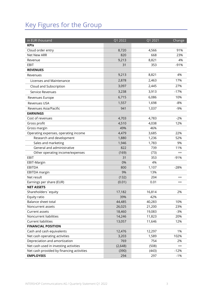# Key Figures for the Group

| in EUR thousand                           | Q1 2022  | Q1 2021 | Change  |
|-------------------------------------------|----------|---------|---------|
| <b>KPIs</b>                               |          |         |         |
| Cloud order entry                         | 8,720    | 4,566   | 91%     |
| Net New ARR                               | 820      | 668     | 23%     |
| Revenue                                   | 9,213    | 8,821   | 4%      |
| EBIT                                      | 31       | 353     | $-91%$  |
| <b>REVENUES</b>                           |          |         |         |
| Revenues                                  | 9,213    | 8,821   | 4%      |
| Licenses and Maintenance                  | 2,878    | 2,463   | 17%     |
| Cloud and Subscription                    | 3,097    | 2,445   | 27%     |
| Service Revenues                          | 3,238    | 3,913   | $-17%$  |
| Revenues Europe                           | 6,715    | 6,086   | 10%     |
| <b>Revenues USA</b>                       | 1,557    | 1,698   | $-8%$   |
| Revenues Asia/Pacific                     | 941      | 1,037   | $-9%$   |
| <b>EARNINGS</b>                           |          |         |         |
| Cost of revenues                          | 4,703    | 4,783   | $-2%$   |
| Gross profit                              | 4,510    | 4,038   | 12%     |
| Gross margin                              | 49%      | 46%     |         |
| Operating expenses, operating income      | 4,479    | 3,685   | 22%     |
| Research and development                  | 1,880    | 1,236   | 52%     |
| Sales and marketing                       | 1,946    | 1,783   | 9%      |
| General and administrative                | 822      | 739     | 11%     |
| Other operating income/expenses           | (169)    | (73)    | $^{++}$ |
| <b>EBIT</b>                               | 31       | 353     | $-91%$  |
| EBIT-Margin                               | 0%       | 4%      |         |
| <b>EBITDA</b>                             | 800      | 1,107   | $-28%$  |
| <b>EBITDA</b> margin                      | 9%       | 13%     |         |
| Net result                                | (132)    | 204     | $^{++}$ |
| Earnings per share (EUR)                  | (0.01)   | 0.01    | $^{++}$ |
| <b>NET ASSETS</b>                         |          |         |         |
| Shareholders' equity                      | 17,182   | 16,814  | 2%      |
| Equity ratio                              | 39%      | 42%     |         |
| Balance sheet total                       | 44,485   | 40,283  | 10%     |
| Noncurrent assets                         | 26,025   | 21,200  | 23%     |
| Current assets                            | 18,460   | 19,083  | $-3%$   |
| Noncurrent liabilities                    | 14,246   | 11,823  | 20%     |
| <b>Current liabilities</b>                | 13,057   | 11,646  | 12%     |
| <b>FINANCIAL POSITION</b>                 |          |         |         |
| Cash and cash equivalents                 | 12,476   | 12,297  | 1%      |
| Net cash operating activities             | 3,203    | 1,589   | 102%    |
| Depreciation and amortization             | 769      | 754     | 2%      |
| Net cash used in investing activities     | (2, 648) | (508)   | $^{++}$ |
| Net cash provided by financing activities | (390)    | (443)   | $-12%$  |
| <b>EMPLOYEES</b>                          | 294      | 297     | $-1%$   |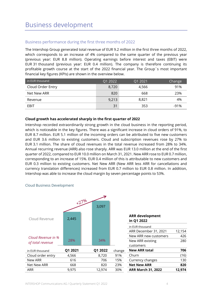#### Business performance during the first three months of 2022

The Intershop Group generated total revenue of EUR 9.2 million in the first three months of 2022, which corresponds to an increase of 4% compared to the same quarter of the previous year (previous year: EUR 8.8 million). Operating earnings before interest and taxes (EBIT) were EUR 31 thousand (previous year: EUR 0.4 million). The company is therefore continuing its profitable growth course at the start of the 2022 financial year. The Group´s most important financial key figures (KPIs) are shown in the overview below.

| in EUR thousand   | Q1 2022 | Q1 2021 | <b>Change</b> |
|-------------------|---------|---------|---------------|
| Cloud Order Entry | 8,720   | 4.566   | 91%           |
| Net New ARR       | 820     | 668     | 23%           |
| Revenue           | 9,213   | 8.821   | 4%            |
| EBIT              | 31      | 353     | $-91%$        |

#### **Cloud growth has accelerated sharply in the first quarter of 2022**

Intershop recorded extraordinarily strong growth in the cloud business in the reporting period, which is noticeable in the key figures. There was a significant increase in cloud orders of 91%, to EUR 8.7 million. EUR 5.1 million of the incoming orders can be attributed to five new customers and EUR 3.6 million to existing customers. Cloud and subscription revenues rose by 27% to EUR 3.1 million. The share of cloud revenues in the total revenue increased from 28% to 34%. Annual recurring revenue (ARR) also rose sharply. ARR was EUR 13.0 million at the end of the first quarter of 2022, compared to EUR 10.0 million on March 31, 2021. New ARR rose to EUR 0.7 million, corresponding to an increase of 15%. EUR 0.4 million of this is attributable to new customers and EUR 0.3 million to existing customers. Net New ARR (New ARR less ARR for cancellations and currency translation differences) increased from EUR 0.7 million to EUR 0.8 million. In addition, Intershop was able to increase the cloud margin by seven percentage points to 53%.



#### Cloud Business Development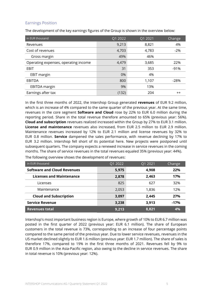#### Earnings Position

The development of the key earnings figures of the Group is shown in the overview below:

| in EUR thousand                      | Q1 2022 | Q1 2021 | Change |
|--------------------------------------|---------|---------|--------|
| Revenues                             | 9,213   | 8,821   | 4%     |
| Cost of revenues                     | 4,703   | 4,783   | $-2%$  |
| Gross margin                         | 49%     | 46%     |        |
| Operating expenses, operating income | 4,479   | 3,685   | 22%    |
| EBIT                                 | 31      | 353     | $-91%$ |
| <b>EBIT margin</b>                   | 0%      | 4%      |        |
| EBITDA                               | 800     | 1,107   | $-28%$ |
| EBITDA margin                        | 9%      | 13%     |        |
| Earnings after tax                   | (132)   | 204     | $++$   |

In the first three months of 2022, the Intershop Group generated **revenues** of EUR 9.2 million, which is an increase of 4% compared to the same quarter of the previous year. At the same time, revenues in the core segment **Software and Cloud** rose by 22% to EUR 6.0 million during the reporting period. Share in the total revenue therefore amounted to 65% (previous year: 56%). **Cloud and subscription** revenues realized increased within the Group by 27% to EUR 3.1 million. **License and maintenance** revenues also increased, from EUR 2.5 million to EUR 2.9 million. Maintenance revenues increased by 12% to EUR 2.1 million and license revenues by 32% to EUR 0.8 million. **Service** dampened the sales performance, with revenue declining by 17% to EUR 3.2 million. Intershop fell short of its potential here. New projects were postponed until subsequent quarters. The company expects a renewed increase in service revenues in the coming months. The share of service revenues in the total revenues equaled 35% (previous year: 44%).

| in EUR thousand                 | Q1 2022 | Q1 2021 | Change |
|---------------------------------|---------|---------|--------|
| Software and Cloud Revenues     | 5,975   | 4,908   | 22%    |
| <b>Licenses and Maintenance</b> | 2,878   | 2,463   | 17%    |
| Licenses                        | 825     | 627     | 32%    |
| Maintenance                     | 2,053   | 1,836   | 12%    |
| <b>Cloud and Subscription</b>   | 3,097   | 2,445   | 27%    |
| <b>Service Revenue</b>          | 3,238   | 3,913   | $-17%$ |
| <b>Revenues total</b>           | 9,213   | 8,821   | 4%     |

The following overview shows the development of revenues:

Intershop's most important business region is Europe, where growth of 10% to EUR 6.7 million was posted in the first quarter of 2022 (previous year: EUR 6.1 million). The share of European customers in the total revenue is 73%, corresponding to an increase of four percentage points compared to the same period of the previous year. Due to lower service revenues, revenues in the US market declined slightly to EUR 1.6 million (previous year: EUR 1.7 million). The share of sales is therefore 17%, compared to 19% in the first three months of 2021. Revenues fell by 9% to EUR 0.9 million in the Asia-Pacific region, also owing to the decline in service revenues. The share in total revenue is 10% (previous year: 12%).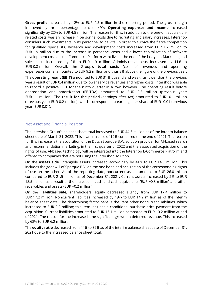**Gross profit** increased by 12% to EUR 4.5 million in the reporting period. The gross margin improved by three percentage point to 49%. **Operating expenses and income** increased significantly by 22% to EUR 4.5 million. The reason for this, in addition to the one-off, acquisitionrelated costs, was an increase in personnel costs due to recruiting and salary increases. Intershop considers such investments in its personnel to be vital in order to survive the fierce competition for qualified specialists. Research and development costs increased from EUR 1.2 million to EUR 1.9 million due to the increase in personnel costs and a lower capitalization of software development costs as the Commerce Platform went live at the end of the last year. Marketing and sales costs increased by 9% to EUR 1.9 million. Administrative costs increased by 11% to EUR 0.8 million. Overall, the Group's **total costs** (cost of revenues and operating expenses/income) amounted to EUR 9.2 million and thus 8% above the figure of the previous year.

The **operating result (EBIT)** amounted to EUR 31 thousand and was thus lower than the previous year's result of EUR 0.4 million due to lower service revenues and higher costs. Intershop was able to record a positive EBIT for the ninth quarter in a row, however. The operating result before depreciation and amortization (EBITDA) amounted to EUR 0.8 million (previous year: EUR 1.1 million). The **result for the period** (earnings after tax) amounted to EUR -0.1 million (previous year: EUR 0.2 million), which corresponds to earnings per share of EUR -0.01 (previous year: EUR 0.01).

#### Net Asset and Financial Position

The Intershop Group's balance sheet total increased to EUR 44.5 million as of the interim balance sheet date of March 31, 2022. This is an increase of 12% compared to the end of 2021. The reason for this increase is the acquisition of the Dutch Sparque B.V., solution provider for AI-based search and recommendation marketing, in the first quarter of 2022 and the associated acquisition of the rights of use. AI-based technology will be integrated into the Intershop E-Commerce Platform and offered to companies that are not using the Intershop solution.

On the **assets side**, intangible assets increased accordingly by 41% to EUR 14.6 million. This includes the goodwill of Sparque B.V. on the one hand and acquisition of the corresponding rights of use on the other. As of the reporting date, noncurrent assets amount to EUR 26.0 million compared to EUR 21.5 million as of December 31, 2021. Current assets increased by 2% to EUR 18.5 million as a result of the increase in cash and cash equivalents (EUR +0.3 million) and other receivables and assets (EUR +0.2 million).

On the **liabilities side**, shareholders' equity decreased slightly from EUR 17.4 million to EUR 17.2 million. Noncurrent liabilities increased by 19% to EUR 14.2 million as of the interim balance sheet date. The determining factor here is the item other noncurrent liabilities, which increased to EUR 2.2 million; this item includes a conditional purchase price payment from the acquisition. Current liabilities amounted to EUR 13.1 million compared to EUR 10.2 million at end of 2021. The reason for the increase is the significant growth in deferred revenue. This increased by 68% to EUR 6.2 million.

The **equity ratio** decreased from 44% to 39% as of the interim balance sheet date of December 31, 2021 due to the increased balance sheet total.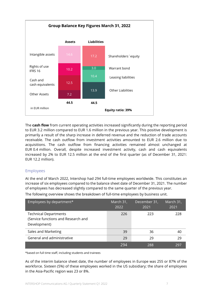

The **cash flow** from current operating activities increased significantly during the reporting period to EUR 3.2 million compared to EUR 1.6 million in the previous year. This positive development is primarily a result of the sharp increase in deferred revenue and the reduction of trade accounts receivable. The cash outflow from investment activities amounted to EUR 2.6 million due to acquisitions. The cash outflow from financing activities remained almost unchanged at EUR 0.4 million. Overall, despite increased investment activity, cash and cash equivalents increased by 2% to EUR 12.5 million at the end of the first quarter (as of December 31, 2021: EUR 12.2 million).

#### Employees

At the end of March 2022, Intershop had 294 full-time employees worldwide. This constitutes an increase of six employees compared to the balance sheet date of December 31, 2021. The number of employees has decreased slightly compared to the same quarter of the previous year.

The following overview shows the breakdown of full-time employees by business unit.

| Employees by department*                                                            | March 31,<br>2022 | December 31,<br>2021 | March 31,<br>2021 |
|-------------------------------------------------------------------------------------|-------------------|----------------------|-------------------|
| <b>Technical Departments</b><br>(Service functions and Research and<br>Development) | 226               | 223                  | 228               |
| Sales and Marketing                                                                 | 39                | 36                   | 40                |
| General and administrative                                                          | 29                | 29                   | 29                |
|                                                                                     | 294               | 288                  | 297               |

\*based on full time staff, including students and trainees

As of the interim balance sheet date, the number of employees in Europe was 255 or 87% of the workforce. Sixteen (5%) of these employees worked in the US subsidiary; the share of employees in the Asia-Pacific region was 23 or 8%.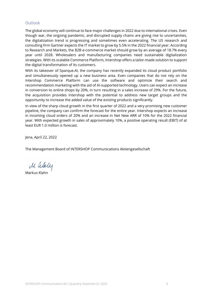#### Outlook

The global economy will continue to face major challenges in 2022 due to international crises. Even though war, the ongoing pandemic, and disrupted supply chains are giving rise to uncertainties, the digitalization trend is progressing and sometimes even accelerating. The US research and consulting firm Gartner expects the IT market to grow by 5.5% in the 2022 financial year. According to Research and Markets, the B2B e-commerce market should grow by an average of 18.7% every year until 2028. Wholesalers and manufacturing companies need sustainable digitalization strategies. With its scalable Commerce Platform, Intershop offers a tailor-made solution to support the digital transformation of its customers.

With its takeover of Sparque.AI, the company has recently expanded its cloud product portfolio and simultaneously opened up a new business area. Even companies that do not rely on the Intershop Commerce Platform can use the software and optimize their search and recommendation marketing with the aid of AI-supported technology. Users can expect an increase in conversion to online shops by 20%, in turn resulting in a sales increase of 29%. For the future, the acquisition provides Intershop with the potential to address new target groups and the opportunity to increase the added value of the existing products significantly.

In view of the sharp cloud growth in the first quarter of 2022 and a very promising new customer pipeline, the company can confirm the forecast for the entire year. Intershop expects an increase in incoming cloud orders of 20% and an increase in Net New ARR of 10% for the 2022 financial year. With expected growth in sales of approximately 10%, a positive operating result (EBIT) of at least EUR 1.0 million is forecast.

Jena, April 22, 2022

The Management Board of INTERSHOP Communications Aktiengesellschaft

Markus Klahn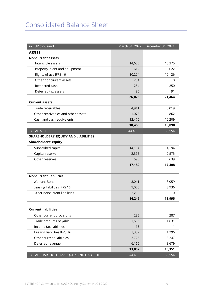## Consolidated Balance Sheet

| in EUR thousand                            | March 31, 2022 | December 31, 2021 |
|--------------------------------------------|----------------|-------------------|
| <b>ASSETS</b>                              |                |                   |
| <b>Noncurrent assets</b>                   |                |                   |
| Intangible assets                          | 14,605         | 10,375            |
| Property, plant and equipment              | 612            | 622               |
| Rights of use IFRS 16                      | 10,224         | 10,126            |
| Other noncurrent assets                    | 234            | 0                 |
| Restricted cash                            | 254            | 250               |
| Deferred tax assets                        | 96             | 91                |
|                                            | 26,025         | 21,464            |
| <b>Current assets</b>                      |                |                   |
| Trade receivables                          | 4,911          | 5,019             |
| Other receivables and other assets         | 1,073          | 862               |
| Cash and cash equivalents                  | 12,476         | 12,209            |
|                                            | 18,460         | 18,090            |
| <b>TOTAL ASSETS</b>                        | 44,485         | 39,554            |
| SHAREHOLDERS' EQUITY AND LIABILITIES       |                |                   |
| <b>Shareholders' equity</b>                |                |                   |
| Subscribed capital                         | 14,194         | 14,194            |
| Capital reserve                            | 2,395          | 2,575             |
| Other reserves                             | 593            | 639               |
|                                            | 17,182         | 17,408            |
| <b>Noncurrent liabilities</b>              |                |                   |
| <b>Warrant Bond</b>                        | 3,041          | 3,059             |
| Leasing liabilities IFRS 16                | 9,000          | 8,936             |
| Other noncurrent liabilities               | 2,205          | 0                 |
|                                            | 14,246         | 11,995            |
|                                            |                |                   |
| <b>Current liabilities</b>                 |                |                   |
| Other current provisions                   | 235            | 287               |
| Trade accounts payable                     | 1,556          | 1,631             |
| Income tax liabilities                     | 15             | 11                |
| Leasing liabilities IFRS 16                | 1,359          | 1,296             |
| Other current liabilities                  | 3,726          | 3,247             |
| Deferred revenue                           | 6,166          | 3,679             |
|                                            | 13,057         | 10,151            |
| TOTAL SHAREHOLDERS' EQUITY AND LIABILITIES | 44,485         | 39,554            |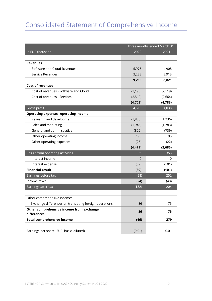## Consolidated Statement of Comprehensive Income

|                                                         | Three months ended March 31, |          |  |
|---------------------------------------------------------|------------------------------|----------|--|
| in EUR thousand                                         | 2022                         | 2021     |  |
|                                                         |                              |          |  |
| <b>Revenues</b>                                         |                              |          |  |
| Software and Cloud Revenues                             | 5,975                        | 4,908    |  |
| Service Revenues                                        | 3,238                        | 3,913    |  |
|                                                         | 9,213                        | 8,821    |  |
| <b>Cost of revenues</b>                                 |                              |          |  |
| Cost of revenues - Software and Cloud                   | (2, 193)                     | (2, 119) |  |
| Cost of revenues - Services                             | (2,510)                      | (2,664)  |  |
|                                                         | (4, 703)                     | (4, 783) |  |
| Gross profit                                            | 4,510                        | 4,038    |  |
| <b>Operating expenses, operating income</b>             |                              |          |  |
| Research and development                                | (1,880)                      | (1, 236) |  |
| Sales and marketing                                     | (1,946)                      | (1,783)  |  |
| General and administrative                              | (822)                        | (739)    |  |
| Other operating income                                  | 195                          | 95       |  |
| Other operating expenses                                | (26)                         | (22)     |  |
|                                                         | (4, 479)                     | (3,685)  |  |
| Result from operating activities                        | 31                           | 353      |  |
| Interest income                                         | $\Omega$                     | 0        |  |
| Interest expense                                        | (89)                         | (101)    |  |
| <b>Financial result</b>                                 | (89)                         | (101)    |  |
| Earnings before tax                                     | (58)                         | 252      |  |
| Income taxes                                            | (74)                         | (48)     |  |
| Earnings after tax                                      | (132)                        | 204      |  |
|                                                         |                              |          |  |
| Other comprehensive income:                             |                              |          |  |
| Exchange differences on translating foreign operations  | 86                           | 75       |  |
| Other comprehensive income from exchange<br>differences | 86                           | 75       |  |
| <b>Total comprehensive income</b>                       | (46)                         | 279      |  |
|                                                         |                              |          |  |
| Earnings per share (EUR, basic, diluted)                | (0,01)                       | 0.01     |  |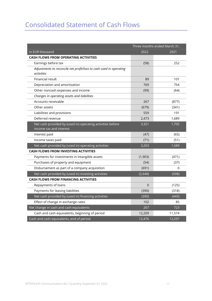### Consolidated Statement of Cash Flows

|                                                                    | Three months ended March 31, |          |  |
|--------------------------------------------------------------------|------------------------------|----------|--|
| in EUR thousand                                                    | 2022                         | 2021     |  |
| CASH FLOWS FROM OPERATING ACTIVITIES                               |                              |          |  |
| Earnings before tax                                                | (58)                         | 252      |  |
| Adjustments to reconcile net profit/loss to cash used in operating |                              |          |  |
| activities                                                         |                              |          |  |
| Financial result                                                   | 89                           | 101      |  |
| Depreciation and amortization                                      | 769                          | 754      |  |
| Other noncash expenses and income                                  | (99)                         | (64)     |  |
| Changes in operating assets and liabilities                        |                              |          |  |
| Accounts receivable                                                | 267                          | (877)    |  |
| Other assets                                                       | (679)                        | (341)    |  |
| Liabilities and provisions                                         | 559                          | 191      |  |
| Deferred revenue                                                   | 2,473                        | 1,689    |  |
| Net cash provided by (used in) operating activities before         | 3,321                        | 1,705    |  |
| income tax and interest                                            |                              |          |  |
| Interest paid                                                      | (47)                         | (65)     |  |
| Income taxes paid                                                  | (71)                         | (51)     |  |
| Net cash provided by (used in) operating activities                | 3,203                        | 1,589    |  |
| <b>CASH FLOWS FROM INVESTING ACTIVITIES</b>                        |                              |          |  |
| Payments for investments in intangible assets                      | (1,903)                      | (471)    |  |
| Purchases of property and equipment                                | (54)                         | (37)     |  |
| Disbursement as part of a company acquisition                      | (691)                        | $\Omega$ |  |
| Net cash provided by (used in) investing activities                | (2,648)                      | (508)    |  |
| <b>CASH FLOWS FROM FINANCING ACTIVITIES</b>                        |                              |          |  |
| Repayments of loans                                                | $\Omega$                     | (125)    |  |
| Payments for leasing liabilities                                   | (390)                        | (318)    |  |
| Net cash provided by (used in) financing activities                | (390)                        | (443)    |  |
| Effect of change in exchange rates                                 | 102                          | 85       |  |
| Net change in cash and cash equivalents                            | 267                          | 723      |  |
| Cash and cash equivalents, beginning of period                     | 12,209                       | 11,574   |  |
| Cash and cash equivalents, end of period                           | 12,476                       | 12,297   |  |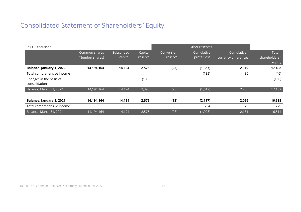| in EUR thousand                          |                                  |                       |                    |                       | Other reserves             |                                    |                                              |
|------------------------------------------|----------------------------------|-----------------------|--------------------|-----------------------|----------------------------|------------------------------------|----------------------------------------------|
|                                          | Common shares<br>(Number shares) | Subscribed<br>capital | Capital<br>reserve | Conversion<br>reserve | Cumulative<br>profit/ loss | Cumulative<br>currency differences | Total<br>shareholders <sup>*</sup><br>equity |
| Balance, January 1, 2022                 | 14,194,164                       | 14,194                | 2,575              | (93)                  | (1, 387)                   | 2,119                              | 17,408                                       |
| Total comprehensive income               |                                  |                       |                    |                       | (132)                      | 86                                 | (46)                                         |
| Changes in the basis of<br>consolidation |                                  |                       | (180)              |                       |                            |                                    | (180)                                        |
| Balance, March 31, 2022                  | 14,194,164                       | 14,194                | 2,395              | (93)                  | (1, 519)                   | 2,205                              | 17,182                                       |
| Balance, January 1, 2021                 | 14,194,164                       | 14,194                | 2,575              | (93)                  | (2, 197)                   | 2,056                              | 16,535                                       |
| Total comprehensive income               |                                  |                       |                    |                       | 204                        | 75                                 | 279                                          |
| Balance, March 31, 2021                  | 14,194,164                       | 14,194                | 2,575              | (93)                  | (1,993)                    | 2,131                              | 16,814                                       |